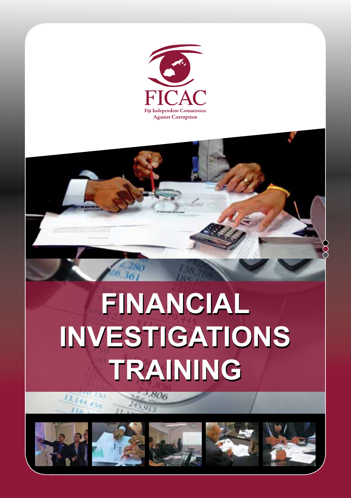

# **FINANCIAL FINANCIAL INVESTIGATIONS INVESTIGATIONS TRAINING TRAINING**

 $.806$ 









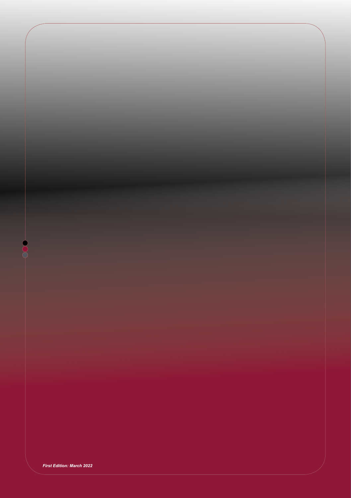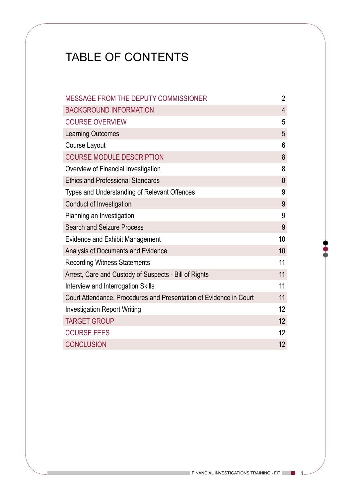# TABLE OF CONTENTS

| MESSAGE FROM THE DEPUTY COMMISSIONER                               | $\overline{2}$ |
|--------------------------------------------------------------------|----------------|
| <b>BACKGROUND INFORMATION</b>                                      | 4              |
| <b>COURSE OVERVIEW</b>                                             | 5              |
| Learning Outcomes                                                  | 5              |
| Course Layout                                                      | 6              |
| <b>COURSE MODULE DESCRIPTION</b>                                   | 8              |
| Overview of Financial Investigation                                | 8              |
| <b>Ethics and Professional Standards</b>                           | 8              |
| Types and Understanding of Relevant Offences                       | 9              |
| Conduct of Investigation                                           | 9              |
| Planning an Investigation                                          | 9              |
| Search and Seizure Process                                         | 9              |
| Evidence and Exhibit Management                                    | 10             |
| Analysis of Documents and Evidence                                 | 10             |
| <b>Recording Witness Statements</b>                                | 11             |
| Arrest, Care and Custody of Suspects - Bill of Rights              | 11             |
| Interview and Interrogation Skills                                 | 11             |
| Court Attendance, Procedures and Presentation of Evidence in Court | 11             |
| <b>Investigation Report Writing</b>                                | 12             |
| <b>TARGET GROUP</b>                                                | 12             |
| <b>COURSE FEES</b>                                                 | 12             |
| <b>CONCLUSION</b>                                                  | 12             |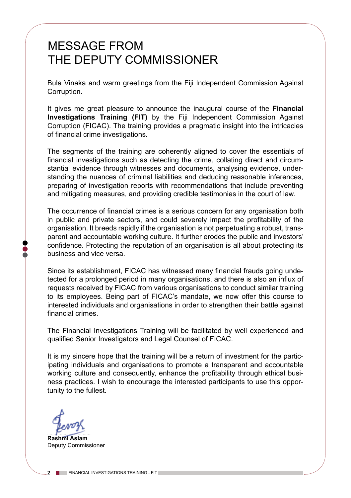# MESSAGE FROM THE DEPUTY COMMISSIONER

Bula Vinaka and warm greetings from the Fiji Independent Commission Against Corruption.

It gives me great pleasure to announce the inaugural course of the **Financial Investigations Training (FIT)** by the Fiji Independent Commission Against Corruption (FICAC). The training provides a pragmatic insight into the intricacies of financial crime investigations.

The segments of the training are coherently aligned to cover the essentials of financial investigations such as detecting the crime, collating direct and circumstantial evidence through witnesses and documents, analysing evidence, understanding the nuances of criminal liabilities and deducing reasonable inferences, preparing of investigation reports with recommendations that include preventing and mitigating measures, and providing credible testimonies in the court of law.

The occurrence of financial crimes is a serious concern for any organisation both in public and private sectors, and could severely impact the profitability of the organisation. It breeds rapidly if the organisation is not perpetuating a robust, transparent and accountable working culture. It further erodes the public and investors' confidence. Protecting the reputation of an organisation is all about protecting its business and vice versa.

Since its establishment, FICAC has witnessed many financial frauds going undetected for a prolonged period in many organisations, and there is also an influx of requests received by FICAC from various organisations to conduct similar training to its employees. Being part of FICAC's mandate, we now offer this course to interested individuals and organisations in order to strengthen their battle against financial crimes.

The Financial Investigations Training will be facilitated by well experienced and qualified Senior Investigators and Legal Counsel of FICAC.

It is my sincere hope that the training will be a return of investment for the participating individuals and organisations to promote a transparent and accountable working culture and consequently, enhance the profitability through ethical business practices. I wish to encourage the interested participants to use this opportunity to the fullest.

**Rashmi Aslam** Deputy Commissioner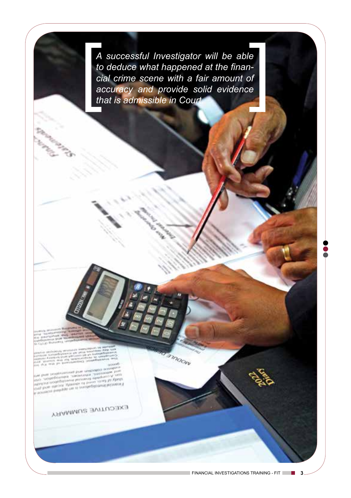*A successful Investigator will be able to deduce what happened at the financial crime scene with a fair amount of accuracy and provide solid evidence that is admissible in Court.* 

**Amoon** 

**EXECUTIVE SUMMARY**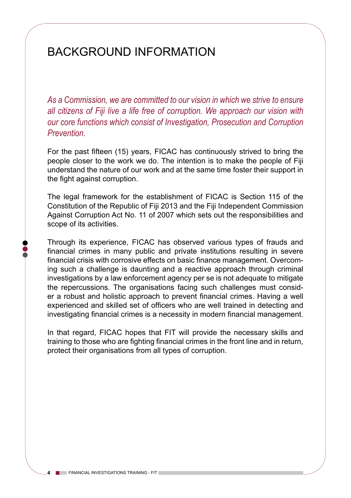## BACKGROUND INFORMATION

As a Commission, we are committed to our vision in which we strive to ensure *all citizens of Fiji live a life free of corruption. We approach our vision with our core functions which consist of Investigation, Prosecution and Corruption Prevention.*

For the past fifteen (15) years, FICAC has continuously strived to bring the people closer to the work we do. The intention is to make the people of Fiji understand the nature of our work and at the same time foster their support in the fight against corruption.

The legal framework for the establishment of FICAC is Section 115 of the Constitution of the Republic of Fiji 2013 and the Fiji Independent Commission Against Corruption Act No. 11 of 2007 which sets out the responsibilities and scope of its activities.

Through its experience, FICAC has observed various types of frauds and financial crimes in many public and private institutions resulting in severe financial crisis with corrosive effects on basic finance management. Overcoming such a challenge is daunting and a reactive approach through criminal investigations by a law enforcement agency per se is not adequate to mitigate the repercussions. The organisations facing such challenges must consider a robust and holistic approach to prevent financial crimes. Having a well experienced and skilled set of officers who are well trained in detecting and investigating financial crimes is a necessity in modern financial management.

In that regard, FICAC hopes that FIT will provide the necessary skills and training to those who are fighting financial crimes in the front line and in return, protect their organisations from all types of corruption.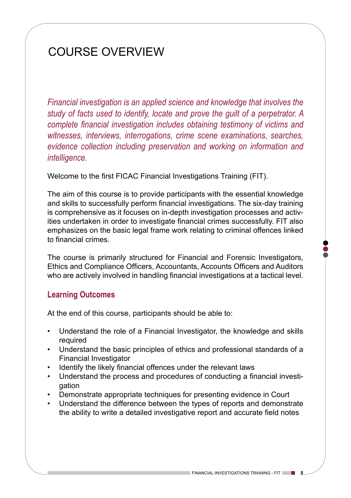# COURSE OVERVIEW

*Financial investigation is an applied science and knowledge that involves the study of facts used to identify, locate and prove the guilt of a perpetrator. A complete financial investigation includes obtaining testimony of victims and witnesses, interviews, interrogations, crime scene examinations, searches, evidence collection including preservation and working on information and intelligence.* 

Welcome to the first FICAC Financial Investigations Training (FIT).

The aim of this course is to provide participants with the essential knowledge and skills to successfully perform financial investigations. The six-day training is comprehensive as it focuses on in-depth investigation processes and activities undertaken in order to investigate financial crimes successfully. FIT also emphasizes on the basic legal frame work relating to criminal offences linked to financial crimes.

The course is primarily structured for Financial and Forensic Investigators, Ethics and Compliance Officers, Accountants, Accounts Officers and Auditors who are actively involved in handling financial investigations at a tactical level.

#### **Learning Outcomes**

At the end of this course, participants should be able to:

- Understand the role of a Financial Investigator, the knowledge and skills required
- Understand the basic principles of ethics and professional standards of a Financial Investigator
- Identify the likely financial offences under the relevant laws
- Understand the process and procedures of conducting a financial investigation
- Demonstrate appropriate techniques for presenting evidence in Court
- Understand the difference between the types of reports and demonstrate the ability to write a detailed investigative report and accurate field notes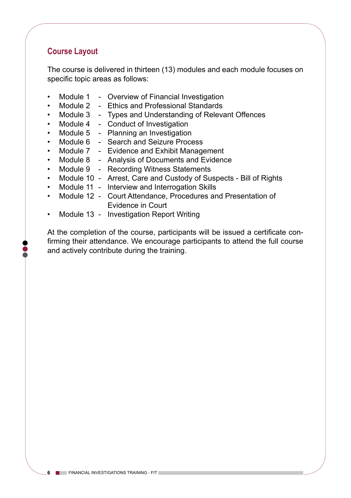## **Course Layout**

The course is delivered in thirteen (13) modules and each module focuses on specific topic areas as follows:

- Module 1 Overview of Financial Investigation
- Module 2 Ethics and Professional Standards
- Module 3 Types and Understanding of Relevant Offences
- Module 4 Conduct of Investigation
- Module 5 Planning an Investigation
- Module 6 Search and Seizure Process
- Module 7 Evidence and Exhibit Management
- Module 8 Analysis of Documents and Evidence
- Module 9 Recording Witness Statements
- Module 10 Arrest, Care and Custody of Suspects Bill of Rights
- Module 11 Interview and Interrogation Skills
- Module 12 Court Attendance, Procedures and Presentation of Evidence in Court
- Module 13 Investigation Report Writing

At the completion of the course, participants will be issued a certificate confirming their attendance. We encourage participants to attend the full course and actively contribute during the training.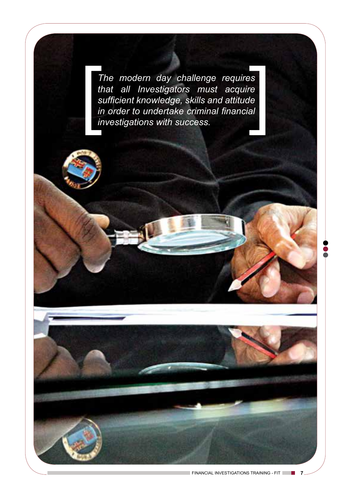*The modern day challenge requires that all Investigators must acquire sufficient knowledge, skills and attitude in order to undertake criminal financial investigations with success.*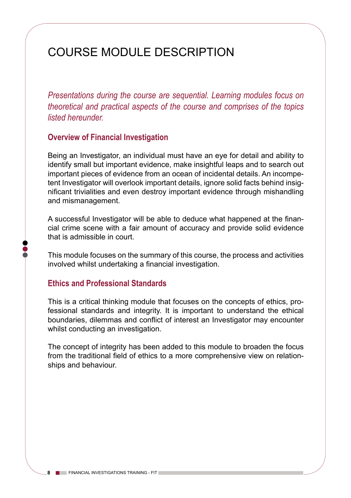# COURSE MODULE DESCRIPTION

*Presentations during the course are sequential. Learning modules focus on theoretical and practical aspects of the course and comprises of the topics listed hereunder.*

#### **Overview of Financial Investigation**

Being an Investigator, an individual must have an eye for detail and ability to identify small but important evidence, make insightful leaps and to search out important pieces of evidence from an ocean of incidental details. An incompetent Investigator will overlook important details, ignore solid facts behind insignificant trivialities and even destroy important evidence through mishandling and mismanagement.

A successful Investigator will be able to deduce what happened at the financial crime scene with a fair amount of accuracy and provide solid evidence that is admissible in court.

This module focuses on the summary of this course, the process and activities involved whilst undertaking a financial investigation.

#### **Ethics and Professional Standards**

This is a critical thinking module that focuses on the concepts of ethics, professional standards and integrity. It is important to understand the ethical boundaries, dilemmas and conflict of interest an Investigator may encounter whilst conducting an investigation.

The concept of integrity has been added to this module to broaden the focus from the traditional field of ethics to a more comprehensive view on relationships and behaviour.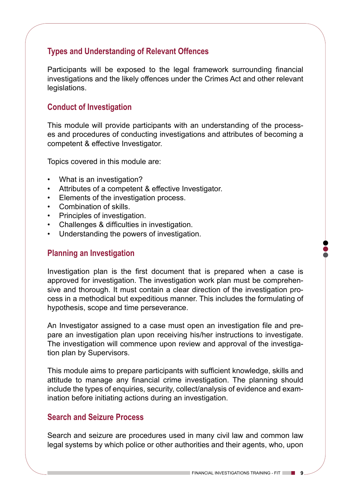## **Types and Understanding of Relevant Offences**

Participants will be exposed to the legal framework surrounding financial investigations and the likely offences under the Crimes Act and other relevant legislations.

## **Conduct of Investigation**

This module will provide participants with an understanding of the processes and procedures of conducting investigations and attributes of becoming a competent & effective Investigator.

Topics covered in this module are:

- What is an investigation?
- Attributes of a competent & effective Investigator.
- Elements of the investigation process.
- Combination of skills.
- Principles of investigation.
- Challenges & difficulties in investigation.
- Understanding the powers of investigation.

#### **Planning an Investigation**

Investigation plan is the first document that is prepared when a case is approved for investigation. The investigation work plan must be comprehensive and thorough. It must contain a clear direction of the investigation process in a methodical but expeditious manner. This includes the formulating of hypothesis, scope and time perseverance.

An Investigator assigned to a case must open an investigation file and prepare an investigation plan upon receiving his/her instructions to investigate. The investigation will commence upon review and approval of the investigation plan by Supervisors.

This module aims to prepare participants with sufficient knowledge, skills and attitude to manage any financial crime investigation. The planning should include the types of enquiries, security, collect/analysis of evidence and examination before initiating actions during an investigation.

#### **Search and Seizure Process**

Search and seizure are procedures used in many civil law and common law legal systems by which police or other authorities and their agents, who, upon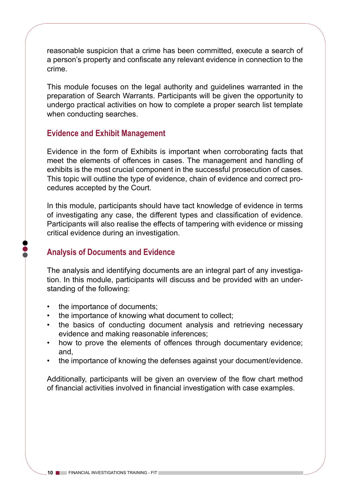reasonable suspicion that a crime has been committed, execute a search of a person's property and confiscate any relevant evidence in connection to the crime.

This module focuses on the legal authority and guidelines warranted in the preparation of Search Warrants. Participants will be given the opportunity to undergo practical activities on how to complete a proper search list template when conducting searches.

#### **Evidence and Exhibit Management**

Evidence in the form of Exhibits is important when corroborating facts that meet the elements of offences in cases. The management and handling of exhibits is the most crucial component in the successful prosecution of cases. This topic will outline the type of evidence, chain of evidence and correct procedures accepted by the Court.

In this module, participants should have tact knowledge of evidence in terms of investigating any case, the different types and classification of evidence. Participants will also realise the effects of tampering with evidence or missing critical evidence during an investigation.

#### **Analysis of Documents and Evidence**

The analysis and identifying documents are an integral part of any investigation. In this module, participants will discuss and be provided with an understanding of the following:

- the importance of documents;
- the importance of knowing what document to collect;
- the basics of conducting document analysis and retrieving necessary evidence and making reasonable inferences;
- how to prove the elements of offences through documentary evidence; and,
- the importance of knowing the defenses against your document/evidence.

Additionally, participants will be given an overview of the flow chart method of financial activities involved in financial investigation with case examples.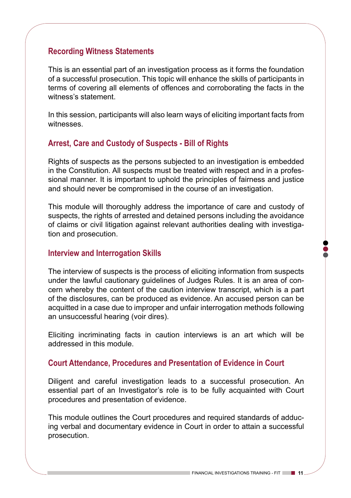#### **Recording Witness Statements**

This is an essential part of an investigation process as it forms the foundation of a successful prosecution. This topic will enhance the skills of participants in terms of covering all elements of offences and corroborating the facts in the witness's statement.

In this session, participants will also learn ways of eliciting important facts from witnesses.

## **Arrest, Care and Custody of Suspects - Bill of Rights**

Rights of suspects as the persons subjected to an investigation is embedded in the Constitution. All suspects must be treated with respect and in a professional manner. It is important to uphold the principles of fairness and justice and should never be compromised in the course of an investigation.

This module will thoroughly address the importance of care and custody of suspects, the rights of arrested and detained persons including the avoidance of claims or civil litigation against relevant authorities dealing with investigation and prosecution.

#### **Interview and Interrogation Skills**

The interview of suspects is the process of eliciting information from suspects under the lawful cautionary guidelines of Judges Rules. It is an area of concern whereby the content of the caution interview transcript, which is a part of the disclosures, can be produced as evidence. An accused person can be acquitted in a case due to improper and unfair interrogation methods following an unsuccessful hearing (voir dires).

Eliciting incriminating facts in caution interviews is an art which will be addressed in this module.

#### **Court Attendance, Procedures and Presentation of Evidence in Court**

Diligent and careful investigation leads to a successful prosecution. An essential part of an Investigator's role is to be fully acquainted with Court procedures and presentation of evidence.

This module outlines the Court procedures and required standards of adducing verbal and documentary evidence in Court in order to attain a successful prosecution.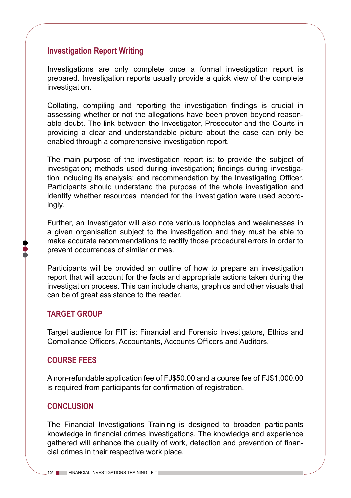## **Investigation Report Writing**

Investigations are only complete once a formal investigation report is prepared. Investigation reports usually provide a quick view of the complete investigation.

Collating, compiling and reporting the investigation findings is crucial in assessing whether or not the allegations have been proven beyond reasonable doubt. The link between the Investigator, Prosecutor and the Courts in providing a clear and understandable picture about the case can only be enabled through a comprehensive investigation report.

The main purpose of the investigation report is: to provide the subject of investigation; methods used during investigation; findings during investigation including its analysis; and recommendation by the Investigating Officer. Participants should understand the purpose of the whole investigation and identify whether resources intended for the investigation were used accordingly.

Further, an Investigator will also note various loopholes and weaknesses in a given organisation subject to the investigation and they must be able to make accurate recommendations to rectify those procedural errors in order to prevent occurrences of similar crimes.

Participants will be provided an outline of how to prepare an investigation report that will account for the facts and appropriate actions taken during the investigation process. This can include charts, graphics and other visuals that can be of great assistance to the reader.

#### **TARGET GROUP**

Target audience for FIT is: Financial and Forensic Investigators, Ethics and Compliance Officers, Accountants, Accounts Officers and Auditors.

#### **COURSE FEES**

A non-refundable application fee of FJ\$50.00 and a course fee of FJ\$1,000.00 is required from participants for confirmation of registration.

#### **CONCLUSION**

The Financial Investigations Training is designed to broaden participants knowledge in financial crimes investigations. The knowledge and experience gathered will enhance the quality of work, detection and prevention of financial crimes in their respective work place.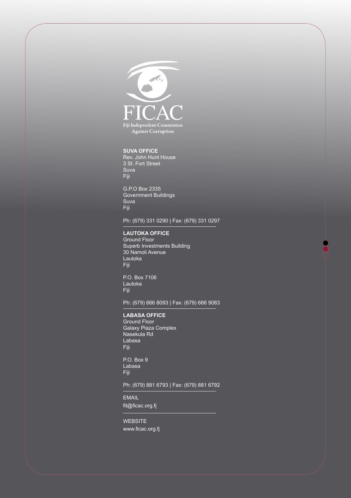

#### **SUVA OFFICE**

Rev. John Hunt House 3 St. Fort Street Suva Fiji

G.P.O Box 2335 Government Buildings Suva Fiji

#### Ph: (679) 331 0290 | Fax: (679) 331 0297

#### **LAUTOKA OFFICE**

Ground Floor Superb Investments Building 30 Namoli Avenue Lautoka Fiji

P.O. Box 7106 Lautoka Fiji

Ph: (679) 666 8093 | Fax: (679) 666 9083

#### **LABASA OFFICE**

Ground Floor Galaxy Plaza Complex Nasekula Rd Labasa Fiji

P.O. Box 9 Labasa Fiji

#### Ph: (679) 881 6793 | Fax: (679) 881 6792

EMAIL fit@ficac.org.fj

WEBSITE www.ficac.org.fj